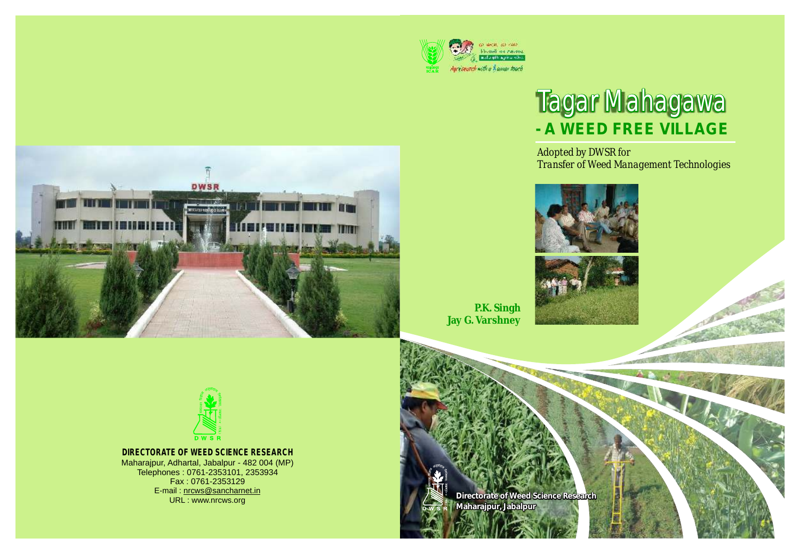

# Tagar Mahagawa **- A WEED FREE VILLAGE**

*Adopted by DWSR for Transfer of Weed Management Technologies*







**P.K. Singh Jay G. Varshney**



**DIRECTORATE OF WEED SCIENCE RESEARCH**

Maharajpur, Adhartal, Jabalpur - 482 004 (MP) Telephones : 0761-2353101, 2353934 Fax : 0761-2353129 E-mail : nrcws@sancharnet.in URL : www.nrcws.org

**Directorate of Weed Science Research Maharajpur, Jabalpur**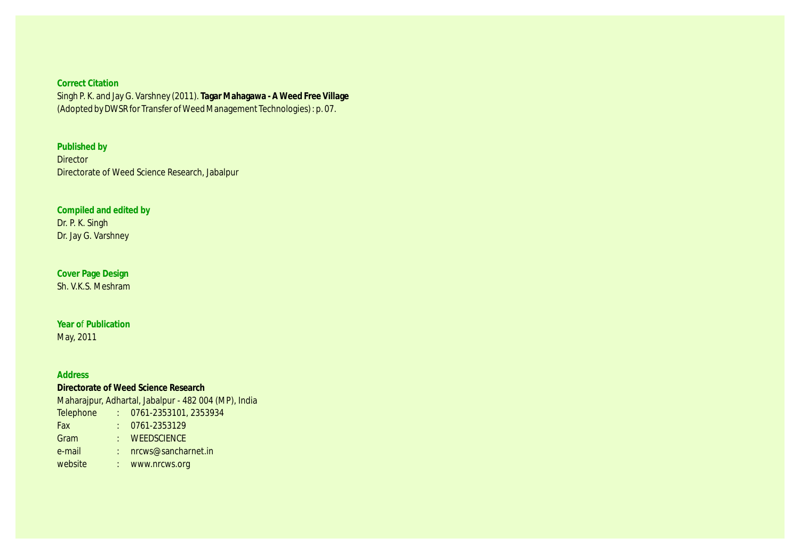(Adopted by DWSR for Transfer of Weed Management Technologies) : p. 07.

**Published by Director** Directorate of Weed Science Research, Jabalpur

**Compiled and edited by** Dr. P. K. Singh Dr. Jay G. Varshney

**Cover Page Design** Sh. V.K.S. Meshram

**Year o**f **Publication** May, 2011

#### **Address**

**Directorate of Weed Science Research** Maharajpur, Adhartal, Jabalpur - 482 004 (MP), India Telephone : 0761-2353101, 2353934 Fax : 0761-2353129 Gram : WEEDSCIENCE e-mail : nrcws@sancharnet.in website : www.nrcws.org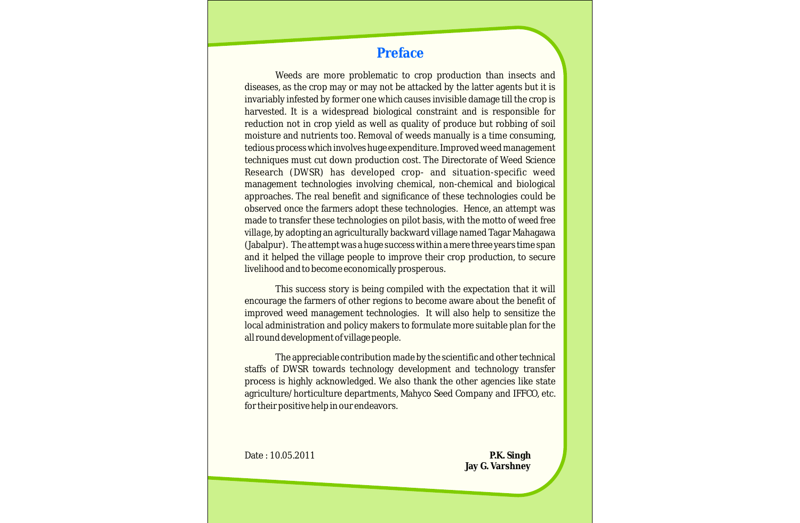### **Preface**

Weeds are more problematic to crop production than insects and diseases, as the crop may or may not be attacked by the latter agents but it is invariably infested by former one which causes invisible damage till the crop is harvested. It is a widespread biological constraint and is responsible for reduction not in crop yield as well as quality of produce but robbing of soil moisture and nutrients too. Removal of weeds manually is a time consuming, tedious process which involves huge expenditure. Improved weed management techniques must cut down production cost. The Directorate of Weed Science Research (DWSR) has developed crop- and situation-specific weed management technologies involving chemical, non-chemical and biological approaches. The real benefit and significance of these technologies could be observed once the farmers adopt these technologies. Hence, an attempt was made to transfer these technologies on pilot basis, with the motto of *weed free village*, by adopting an agriculturally backward village named Tagar Mahagawa (Jabalpur). The attempt was a huge success within a mere three years time span and it helped the village people to improve their crop production, to secure livelihood and to become economically prosperous.

This success story is being compiled with the expectation that it will encourage the farmers of other regions to become aware about the benefit of improved weed management technologies. It will also help to sensitize the local administration and policy makers to formulate more suitable plan for the all round development of village people.

The appreciable contribution made by the scientific and other technical staffs of DWSR towards technology development and technology transfer process is highly acknowledged. We also thank the other agencies like state agriculture/horticulture departments, Mahyco Seed Company and IFFCO, etc. for their positive help in our endeavors.

Date : 10.05.2011

**P.K. Singh Jay G. Varshney**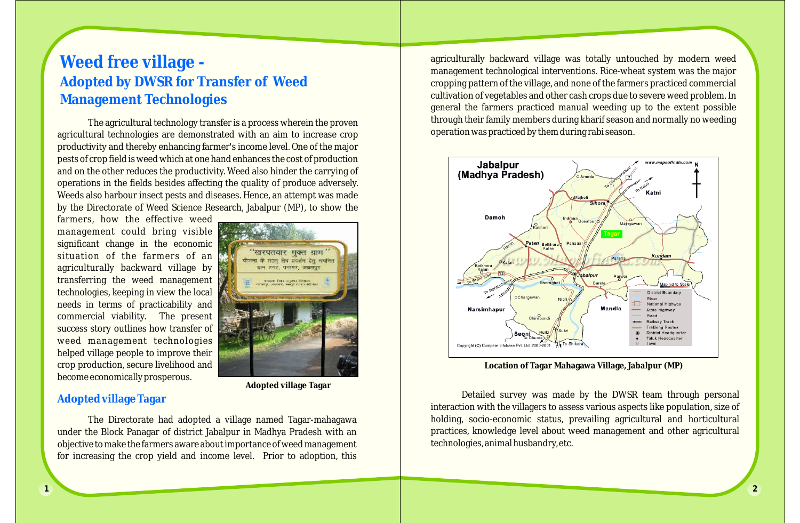## **Weed free village - Adopted by DWSR for Transfer of Weed Management Technologies**

The agricultural technology transfer is a process wherein the proven agricultural technologies are demonstrated with an aim to increase crop productivity and thereby enhancing farmer's income level. One of the major pests of crop field is weed which at one hand enhances the cost of production and on the other reduces the productivity. Weed also hinder the carrying of operations in the fields besides affecting the quality of produce adversely. Weeds also harbour insect pests and diseases. Hence, an attempt was made by the Directorate of Weed Science Research, Jabalpur (MP), to show the

farmers, how the effective weed management could bring visible significant change in the economic situation of the farmers of an agriculturally backward village by transferring the weed management technologies, keeping in view the local needs in terms of practicability and commercial viability. The present success story outlines how transfer of weed management technologies helped village people to improve their crop production, secure livelihood and become economically prosperous.



**Adopted village Tagar**

#### **Adopted village Tagar**

The Directorate had adopted a village named Tagar-mahagawa under the Block Panagar of district Jabalpur in Madhya Pradesh with an objective to make the farmers aware about importance of weed management for increasing the crop yield and income level. Prior to adoption, this agriculturally backward village was totally untouched by modern weed management technological interventions. Rice-wheat system was the major cropping pattern of the village, and none of the farmers practiced commercial cultivation of vegetables and other cash crops due to severe weed problem. In general the farmers practiced manual weeding up to the extent possible through their family members during kharif season and normally no weeding operation was practiced by them during rabi season.



**Location of Tagar Mahagawa Village, Jabalpur (MP)**

Detailed survey was made by the DWSR team through personal interaction with the villagers to assess various aspects like population, size of holding, socio-economic status, prevailing agricultural and horticultural practices, knowledge level about weed management and other agricultural technologies, animal husbandry, etc.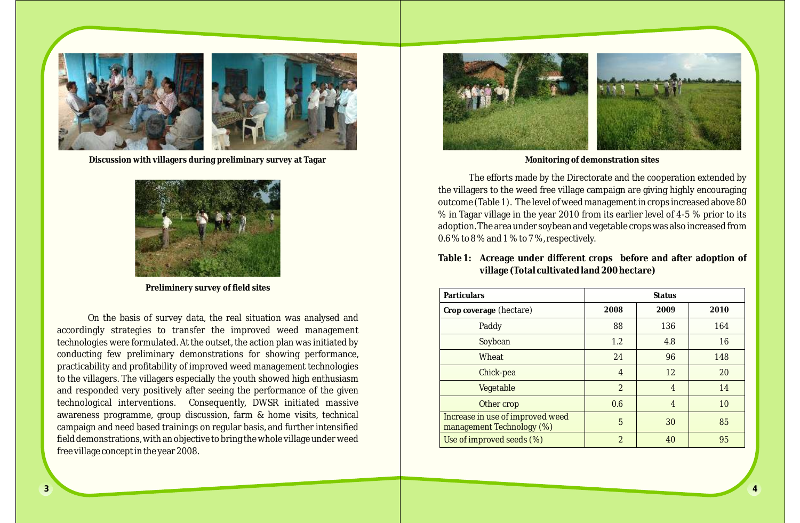

Discussion with villagers during preliminary survey at Tagar **Monitoring of demonstration sites** Monitoring of demonstration sites



**Preliminery survey of field sites**

On the basis of survey data, the real situation was analysed and accordingly strategies to transfer the improved weed management technologies were formulated. At the outset, the action plan was initiated by conducting few preliminary demonstrations for showing performance, practicability and profitability of improved weed management technologies to the villagers. The villagers especially the youth showed high enthusiasm and responded very positively after seeing the performance of the given technological interventions. Consequently, DWSR initiated massive awareness programme, group discussion, farm & home visits, technical campaign and need based trainings on regular basis, and further intensified field demonstrations, with an objective to bring the whole village under weed free village concept in the year 2008.



The efforts made by the Directorate and the cooperation extended by the villagers to the weed free village campaign are giving highly encouraging outcome (Table 1). The level of weed management in crops increased above 80 % in Tagar village in the year 2010 from its earlier level of 4-5 % prior to its adoption. The area under soybean and vegetable crops was also increased from 0.6 % to 8 % and 1 % to 7 %, respectively.

**Table 1: Acreage under different crops before and after adoption of village (Total cultivated land 200 hectare)**

| Particulars                                                   | <b>Status</b>  |                |      |  |  |
|---------------------------------------------------------------|----------------|----------------|------|--|--|
| Crop coverage (hectare)                                       | 2008           | 2009           | 2010 |  |  |
| Paddy                                                         | 88             | 136            | 164  |  |  |
| Soybean                                                       | 1.2            | 4.8            | 16   |  |  |
| Wheat                                                         | 24             | 96             | 148  |  |  |
| Chick-pea                                                     | $\overline{4}$ | 12             | 20   |  |  |
| Vegetable                                                     | $\overline{2}$ | $\overline{4}$ | 14   |  |  |
| Other crop                                                    | 0.6            | $\overline{4}$ | 10   |  |  |
| Increase in use of improved weed<br>management Technology (%) | 5              | 30             | 85   |  |  |
| Use of improved seeds (%)                                     | $\overline{2}$ | 40             | 95   |  |  |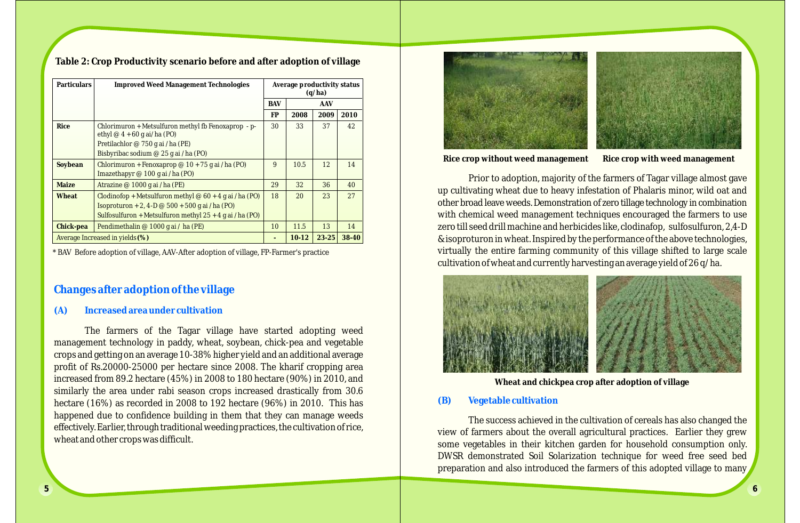| Table 2: Crop Productivity scenario before and after adoption of village |  |  |  |
|--------------------------------------------------------------------------|--|--|--|
|                                                                          |  |  |  |

| Particulars                     | <b>Improved Weed Management Technologies</b>                                                                                                                                   | Average productivity status<br>(q/ha) |         |           |       |
|---------------------------------|--------------------------------------------------------------------------------------------------------------------------------------------------------------------------------|---------------------------------------|---------|-----------|-------|
|                                 |                                                                                                                                                                                | <b>BAV</b>                            | AAV     |           |       |
|                                 |                                                                                                                                                                                | FP                                    | 2008    | 2009      | 2010  |
| Rice                            | Chlorimuron + Metsulfuron methyl fb Fenoxaprop - p-<br>ethyl $@4 + 60$ g ai/ha (PO)                                                                                            | 30                                    | 33      | 37        | 42    |
|                                 | Pretilachlor @ 750 g ai /ha (PE)                                                                                                                                               |                                       |         |           |       |
|                                 | Bisbyribac sodium @ 25 g ai /ha (PO)                                                                                                                                           |                                       |         |           |       |
| Soybean                         | Chlorimuron + Fenoxaprop @ $10 + 75$ g ai /ha (PO)<br>Imazethapyr @ 100 g ai /ha (PO)                                                                                          | 9                                     | 10.5    | 12        | 14    |
| Maize                           | Atrazine @ 1000 g ai /ha (PE)                                                                                                                                                  | 29                                    | 32      | 36        | 40    |
| Wheat                           | Clodinofop + Metsulfuron methyl @ $60 + 4$ g ai /ha (PO)<br>Isoproturon + 2, 4-D $\omega$ 500 + 500 g ai /ha (PO)<br>Sulfosulfuron + Metsulfuron methyl $25 + 4$ g ai /ha (PO) | 18                                    | 20      | 23        | 27    |
| Chick-pea                       | Pendimethalin @ 1000 g ai / ha (PE)                                                                                                                                            | 10                                    | 11.5    | 13        | 14    |
| Average Increased in yields (%) |                                                                                                                                                                                | -                                     | $10-12$ | $23 - 25$ | 38-40 |

\* BAV Before adoption of village, AAV-After adoption of village, FP-Farmer's practice

#### **Changes after adoption of the village**

#### **(A) Increased area under cultivation**

The farmers of the Tagar village have started adopting weed management technology in paddy, wheat, soybean, chick-pea and vegetable crops and getting on an average 10-38% higher yield and an additional average profit of Rs.20000-25000 per hectare since 2008. The kharif cropping area increased from 89.2 hectare (45%) in 2008 to 180 hectare (90%) in 2010, and similarly the area under rabi season crops increased drastically from 30.6 hectare (16%) as recorded in 2008 to 192 hectare (96%) in 2010. This has happened due to confidence building in them that they can manage weeds effectively. Earlier, through traditional weeding practices, the cultivation of rice, wheat and other crops was difficult.



**Rice crop without weed management Rice crop with weed management**

Prior to adoption, majority of the farmers of Tagar village almost gave up cultivating wheat due to heavy infestation of Phalaris minor, wild oat and other broad leave weeds. Demonstration of zero tillage technology in combination with chemical weed management techniques encouraged the farmers to use zero till seed drill machine and herbicides like, clodinafop, sulfosulfuron, 2,4-D & isoproturon in wheat. Inspired by the performance of the above technologies, virtually the entire farming community of this village shifted to large scale cultivation of wheat and currently harvesting an average yield of 26 q/ha.



**Wheat and chickpea crop after adoption of village**

#### **(B) Vegetable cultivation**

The success achieved in the cultivation of cereals has also changed the view of farmers about the overall agricultural practices. Earlier they grew some vegetables in their kitchen garden for household consumption only. DWSR demonstrated Soil Solarization technique for weed free seed bed preparation and also introduced the farmers of this adopted village to many